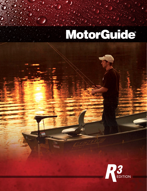# MotorCuide